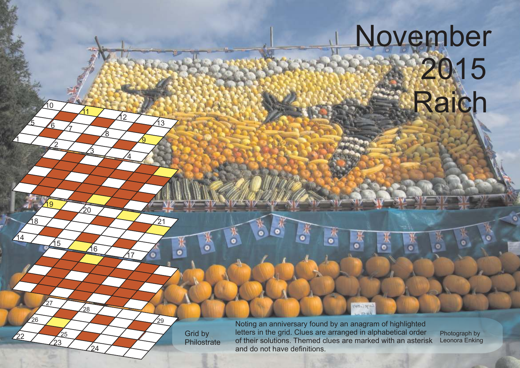## November 12015 **Raich**

Grid by **Philostrate** 

1

 $\sqrt{14}$ 

 $/22$ 

26

18

2

15

 $^{'}23$  $25$ 

27

<u> 19</u>

 $5/6/1$ 

10

<u>3</u>

16

24

 $28$ 

 $\sqrt{20}$ 

11

<u>ጀ</u>

 $\overline{4}$ 

<u>17</u>

 $\mathcal{D}$ 

<u>ର</u>

13

21

 $\bullet$ 

⁄29

Noting an anniversary found by an anagram of highlighted letters in the grid. Clues are arranged in alphabetical order of their solutions. Themed clues are marked with an asterisk and do not have definitions.

 $\overline{B}$ 

۰

ye Cultury

 $\frac{1}{2}$ 

Ä,

Photograph by Leonora Enking